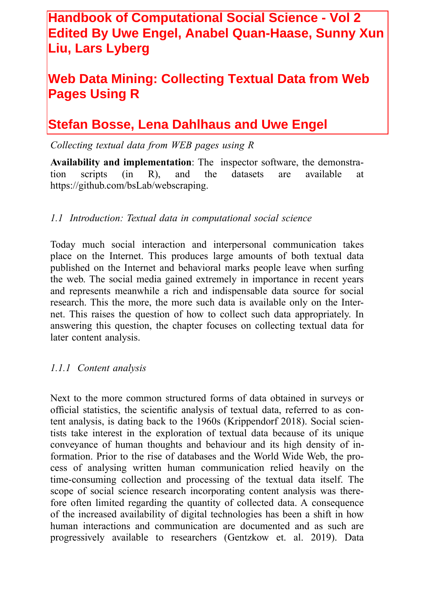## **Handbook of Computational Social Science - Vol 2 Edited By Uwe Engel, Anabel Quan-Haase, Sunny Xun Liu, Lars Lyberg**

# **Web Data Mining: Collecting Textual Data from Web Pages Using R**

# **Stefan Bosse, Lena Dahlhaus and Uwe Engel**

*Collecting textual data from WEB pages using R*

**Availability and implementation**: The inspector software, the demonstration scripts (in R), and the datasets are available at https://github.com/bsLab/webscraping.

## *1.1 Introduction: Textual data in computational social science*

Today much social interaction and interpersonal communication takes place on the Internet. This produces large amounts of both textual data published on the Internet and behavioral marks people leave when surfing the web. The social media gained extremely in importance in recent years and represents meanwhile a rich and indispensable data source for social research. This the more, the more such data is available only on the Internet. This raises the question of how to collect such data appropriately. In answering this question, the chapter focuses on collecting textual data for later content analysis.

#### *1.1.1 Content analysis*

Next to the more common structured forms of data obtained in surveys or official statistics, the scientific analysis of textual data, referred to as content analysis, is dating back to the 1960s (Krippendorf 2018). Social scientists take interest in the exploration of textual data because of its unique conveyance of human thoughts and behaviour and its high density of information. Prior to the rise of databases and the World Wide Web, the process of analysing written human communication relied heavily on the time-consuming collection and processing of the textual data itself. The scope of social science research incorporating content analysis was therefore often limited regarding the quantity of collected data. A consequence of the increased availability of digital technologies has been a shift in how human interactions and communication are documented and as such are progressively available to researchers (Gentzkow et. al. 2019). Data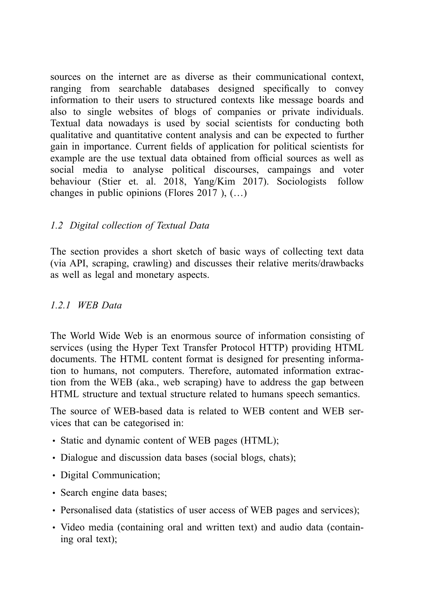sources on the internet are as diverse as their communicational context, ranging from searchable databases designed specifically to convey information to their users to structured contexts like message boards and also to single websites of blogs of companies or private individuals. Textual data nowadays is used by social scientists for conducting both qualitative and quantitative content analysis and can be expected to further gain in importance. Current fields of application for political scientists for example are the use textual data obtained from official sources as well as social media to analyse political discourses, campaings and voter behaviour (Stier et. al. 2018, Yang/Kim 2017). Sociologists follow changes in public opinions (Flores 2017 ), (…)

## *1.2 Digital collection of Textual Data*

The section provides a short sketch of basic ways of collecting text data (via API, scraping, crawling) and discusses their relative merits/drawbacks as well as legal and monetary aspects.

### *1.2.1 WEB Data*

The World Wide Web is an enormous source of information consisting of services (using the Hyper Text Transfer Protocol HTTP) providing HTML documents. The HTML content format is designed for presenting information to humans, not computers. Therefore, automated information extraction from the WEB (aka., web scraping) have to address the gap between HTML structure and textual structure related to humans speech semantics.

The source of WEB-based data is related to WEB content and WEB services that can be categorised in:

- Static and dynamic content of WEB pages (HTML);
- Dialogue and discussion data bases (social blogs, chats);
- Digital Communication;
- Search engine data bases;
- Personalised data (statistics of user access of WEB pages and services);
- Video media (containing oral and written text) and audio data (containing oral text);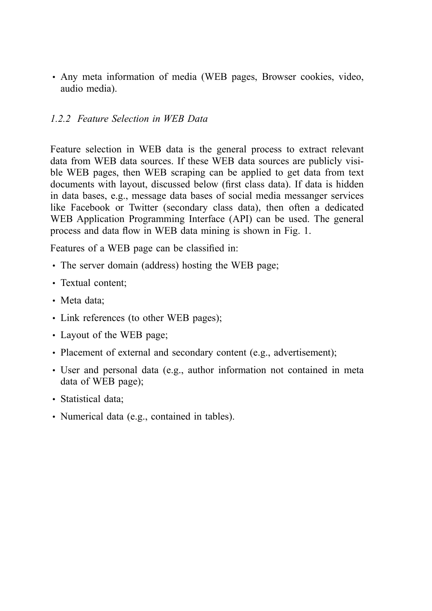• Any meta information of media (WEB pages, Browser cookies, video, audio media).

### *1.2.2 Feature Selection in WEB Data*

Feature selection in WEB data is the general process to extract relevant data from WEB data sources. If these WEB data sources are publicly visible WEB pages, then WEB scraping can be applied to get data from text documents with layout, discussed below (first class data). If data is hidden in data bases, e.g., message data bases of social media messanger services like Facebook or Twitter (secondary class data), then often a dedicated WEB Application Programming Interface (API) can be used. The general process and data flow in WEB data mining is shown in Fig. 1.

Features of a WEB page can be classified in:

- The server domain (address) hosting the WEB page;
- Textual content:
- Meta data:
- Link references (to other WEB pages);
- Layout of the WEB page;
- Placement of external and secondary content (e.g., advertisement);
- User and personal data (e.g., author information not contained in meta data of WEB page);
- Statistical data:
- Numerical data (e.g., contained in tables).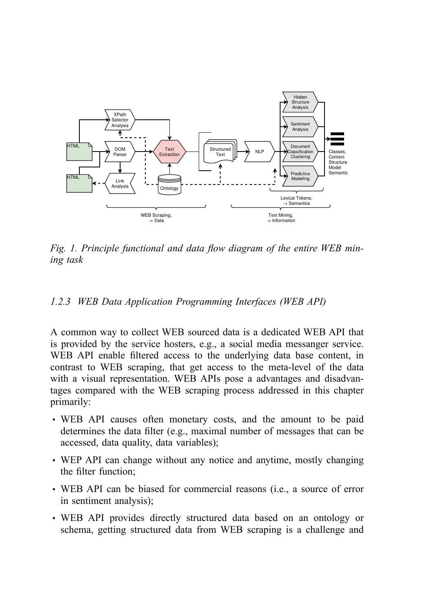

*Fig. 1. Principle functional and data flow diagram of the entire WEB mining task*

#### *1.2.3 WEB Data Application Programming Interfaces (WEB API)*

A common way to collect WEB sourced data is a dedicated WEB API that is provided by the service hosters, e.g., a social media messanger service. WEB API enable filtered access to the underlying data base content, in contrast to WEB scraping, that get access to the meta-level of the data with a visual representation. WEB APIs pose a advantages and disadvantages compared with the WEB scraping process addressed in this chapter primarily:

- WEB API causes often monetary costs, and the amount to be paid determines the data filter (e.g., maximal number of messages that can be accessed, data quality, data variables);
- WEP API can change without any notice and anytime, mostly changing the filter function;
- WEB API can be biased for commercial reasons (i.e., a source of error in sentiment analysis);
- WEB API provides directly structured data based on an ontology or schema, getting structured data from WEB scraping is a challenge and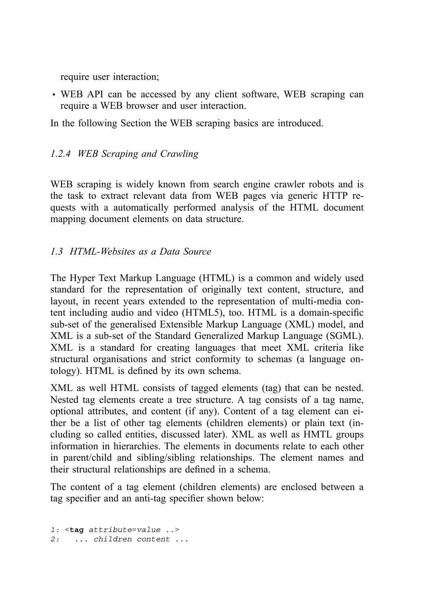require user interaction;

• WEB API can be accessed by any client software, WEB scraping can require a WEB browser and user interaction.

In the following Section the WEB scraping basics are introduced.

## *1.2.4 WEB Scraping and Crawling*

WEB scraping is widely known from search engine crawler robots and is the task to extract relevant data from WEB pages via generic HTTP requests with a automatically performed analysis of the HTML document mapping document elements on data structure.

## *1.3 HTML-Websites as a Data Source*

The Hyper Text Markup Language (HTML) is a common and widely used standard for the representation of originally text content, structure, and layout, in recent years extended to the representation of multi-media content including audio and video (HTML5), too. HTML is a domain-specific sub-set of the generalised Extensible Markup Language (XML) model, and XML is a sub-set of the Standard Generalized Markup Language (SGML). XML is a standard for creating languages that meet XML criteria like structural organisations and strict conformity to schemas (a language ontology). HTML is defined by its own schema.

XML as well HTML consists of tagged elements (tag) that can be nested. Nested tag elements create a tree structure. A tag consists of a tag name, optional attributes, and content (if any). Content of a tag element can either be a list of other tag elements (children elements) or plain text (including so called entities, discussed later). XML as well as HMTL groups information in hierarchies. The elements in documents relate to each other in parent/child and sibling/sibling relationships. The element names and their structural relationships are defined in a schema.

The content of a tag element (children elements) are enclosed between a tag specifier and an anti-tag specifier shown below:

```
1: <tag attribute=value ..>
2: ... children content ...
```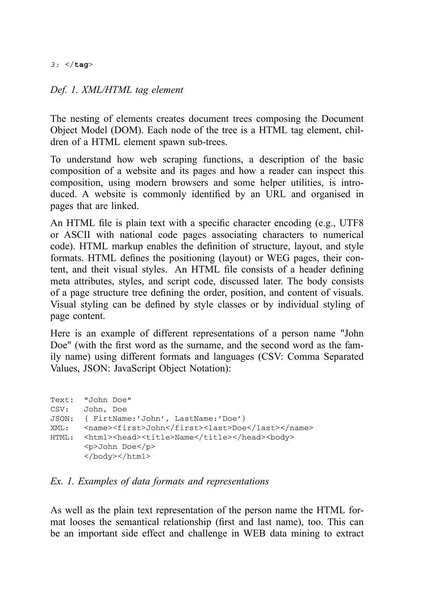*3:* </**tag**>

#### *Def. 1. XML/HTML tag element*

The nesting of elements creates document trees composing the Document Object Model (DOM). Each node of the tree is a HTML tag element, children of a HTML element spawn sub-trees.

To understand how web scraping functions, a description of the basic composition of a website and its pages and how a reader can inspect this composition, using modern browsers and some helper utilities, is introduced. A website is commonly identified by an URL and organised in pages that are linked.

An HTML file is plain text with a specific character encoding (e.g., UTF8 or ASCII with national code pages associating characters to numerical code). HTML markup enables the definition of structure, layout, and style formats. HTML defines the positioning (layout) or WEG pages, their content, and theit visual styles. An HTML file consists of a header defining meta attributes, styles, and script code, discussed later. The body consists of a page structure tree defining the order, position, and content of visuals. Visual styling can be defined by style classes or by individual styling of page content.

Here is an example of different representations of a person name "John Doe" (with the first word as the surname, and the second word as the family name) using different formats and languages (CSV: Comma Separated Values, JSON: JavaScript Object Notation):

```
Text: "John Doe"
CSV: John, Doe
JSON: { FirtName:'John', LastName:'Doe'}
XML: <name><first>John</first><last>Doe</last></name>
HTML: <html><head><title>Name</title></head><br/><br/>>body>
       <p>John Doe</p>
       </body></html>
```
#### *Ex. 1. Examples of data formats and representations*

As well as the plain text representation of the person name the HTML format looses the semantical relationship (first and last name), too. This can be an important side effect and challenge in WEB data mining to extract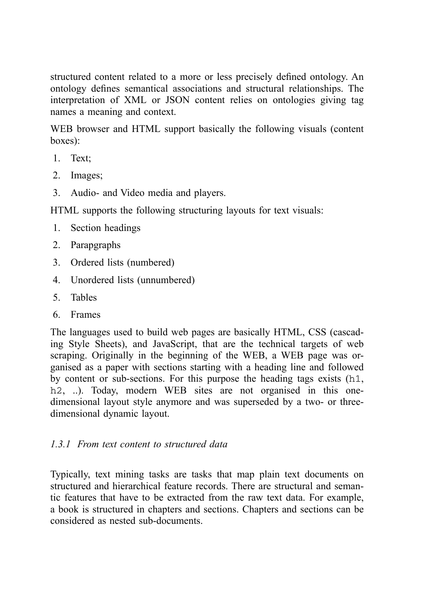structured content related to a more or less precisely defined ontology. An ontology defines semantical associations and structural relationships. The interpretation of XML or JSON content relies on ontologies giving tag names a meaning and context.

WEB browser and HTML support basically the following visuals (content boxes):

- 1. Text;
- 2. Images;
- 3. Audio- and Video media and players.

HTML supports the following structuring layouts for text visuals:

- 1. Section headings
- 2. Parapgraphs
- 3. Ordered lists (numbered)
- 4. Unordered lists (unnumbered)
- 5. Tables
- 6. Frames

The languages used to build web pages are basically HTML, CSS (cascading Style Sheets), and JavaScript, that are the technical targets of web scraping. Originally in the beginning of the WEB, a WEB page was organised as a paper with sections starting with a heading line and followed by content or sub-sections. For this purpose the heading tags exists (h1, h<sub>2</sub>, ...). Today, modern WEB sites are not organised in this onedimensional layout style anymore and was superseded by a two- or threedimensional dynamic layout.

## *1.3.1 From text content to structured data*

<span id="page-6-0"></span>Typically, text mining tasks are tasks that map plain text documents on structured and hierarchical feature records. There are structural and semantic features that have to be extracted from the raw text data. For example, a book is structured in chapters and sections. Chapters and sections can be considered as nested sub-documents.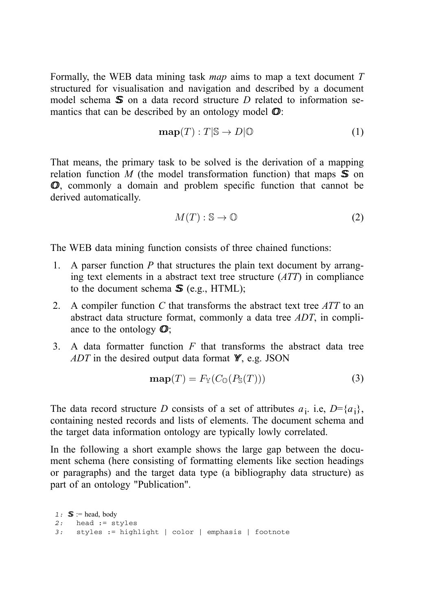Formally, the WEB data mining task *map* aims to map a text document *T* structured for visualisation and navigation and described by a document model schema *SS* on a data record structure *D* related to information semantics that can be described by an ontology model *OO*:

$$
\mathbf{map}(T):T|\mathbb{S}\to D|\mathbb{O}\tag{1}
$$

That means, the primary task to be solved is the derivation of a mapping relation function *M* (the model transformation function) that maps  $\mathbb{S}$  on *OO*, commonly a domain and problem specific function that cannot be derived automatically.

$$
M(T): \mathbb{S} \to \mathbb{O}
$$
 (2)

The WEB data mining function consists of three chained functions:

- 1. A parser function *P* that structures the plain text document by arranging text elements in a abstract text tree structure (*ATT*) in compliance to the document schema  $\mathbf{\mathcal{S}}$  (e.g., HTML);
- 2. A compiler function *C* that transforms the abstract text tree *ATT* to an abstract data structure format, commonly a data tree *ADT*, in compliance to the ontology *OO*;
- 3. A data formatter function *F* that transforms the abstract data tree *ADT* in the desired output data format *YY*, e.g. JSON

$$
\mathbf{map}(T) = F_{\mathbb{Y}}(C_{\mathbb{Q}}(P_{\mathbb{S}}(T))) \tag{3}
$$

The data record structure *D* consists of a set of attributes  $a_i$ . i.e,  $D = \{a_i\}$ , containing nested records and lists of elements. The document schema and the target data information ontology are typically lowly correlated.

In the following a short example shows the large gap between the document schema (here consisting of formatting elements like section headings or paragraphs) and the target data type (a bibliography data structure) as part of an ontology "Publication".

```
1: S := head, body
2: head := styles
3: styles := highlight | color | emphasis | footnote
```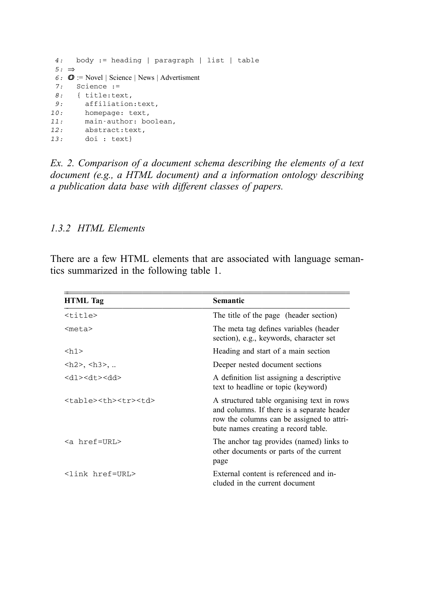```
4: body := heading | paragraph | list | table
5: ⇒
6: OO := Novel | Science | News | Advertisment
7: Science :=
8: { title:text,
9: affiliation:text,
10: homepage: text,
11: main-author: boolean,
12: abstract:text,
13: doi : text}
```
*Ex. 2. Comparison of a document schema describing the elements of a text document (e.g., a HTML document) and a information ontology describing a publication data base with different classes of papers.*

#### *1.3.2 HTML Elements*

There are a few HTML elements that are associated with language semantics summarized in the following table 1.

| <b>HTML</b> Tag                                                                                                                                                                                                                                                                                                                                                                                                                                                                                                 | <b>Semantic</b>                                                                                                                                                                                                                                                                                                                                                                                                                                                                           |  |                                                                                                                                                                              |                    |                                                                                             |                    |                                                                          |
|-----------------------------------------------------------------------------------------------------------------------------------------------------------------------------------------------------------------------------------------------------------------------------------------------------------------------------------------------------------------------------------------------------------------------------------------------------------------------------------------------------------------|-------------------------------------------------------------------------------------------------------------------------------------------------------------------------------------------------------------------------------------------------------------------------------------------------------------------------------------------------------------------------------------------------------------------------------------------------------------------------------------------|--|------------------------------------------------------------------------------------------------------------------------------------------------------------------------------|--------------------|---------------------------------------------------------------------------------------------|--------------------|--------------------------------------------------------------------------|
| $<$ title $>$                                                                                                                                                                                                                                                                                                                                                                                                                                                                                                   | The title of the page (header section)                                                                                                                                                                                                                                                                                                                                                                                                                                                    |  |                                                                                                                                                                              |                    |                                                                                             |                    |                                                                          |
| <meta/>                                                                                                                                                                                                                                                                                                                                                                                                                                                                                                         | The meta tag defines variables (header<br>section), e.g., keywords, character set                                                                                                                                                                                                                                                                                                                                                                                                         |  |                                                                                                                                                                              |                    |                                                                                             |                    |                                                                          |
| <h1></h1>                                                                                                                                                                                                                                                                                                                                                                                                                                                                                                       | Heading and start of a main section                                                                                                                                                                                                                                                                                                                                                                                                                                                       |  |                                                                                                                                                                              |                    |                                                                                             |                    |                                                                          |
| $\langle h2 \rangle, \langle h3 \rangle, $                                                                                                                                                                                                                                                                                                                                                                                                                                                                      | Deeper nested document sections                                                                                                                                                                                                                                                                                                                                                                                                                                                           |  |                                                                                                                                                                              |                    |                                                                                             |                    |                                                                          |
| $<$ bb> $<$ 4b> $<$ rb> $<$ bb>                                                                                                                                                                                                                                                                                                                                                                                                                                                                                 | A definition list assigning a descriptive<br>text to headline or topic (keyword)                                                                                                                                                                                                                                                                                                                                                                                                          |  |                                                                                                                                                                              |                    |                                                                                             |                    |                                                                          |
| <table><th><tr><td></td><td>A structured table organising text in rows<br/>and columns. If there is a separate header<br/>row the columns can be assigned to attri-<br/>bute names creating a record table.</td></tr><tr><td><math>\leq</math>a href=URL&gt;</td><td>The anchor tag provides (named) links to<br/>other documents or parts of the current<br/>page</td></tr><tr><td><link href="URL"/></td><td>External content is referenced and in-<br/>cluded in the current document</td></tr></th></table> | <tr><td></td><td>A structured table organising text in rows<br/>and columns. If there is a separate header<br/>row the columns can be assigned to attri-<br/>bute names creating a record table.</td></tr> <tr><td><math>\leq</math>a href=URL&gt;</td><td>The anchor tag provides (named) links to<br/>other documents or parts of the current<br/>page</td></tr> <tr><td><link href="URL"/></td><td>External content is referenced and in-<br/>cluded in the current document</td></tr> |  | A structured table organising text in rows<br>and columns. If there is a separate header<br>row the columns can be assigned to attri-<br>bute names creating a record table. | $\leq$ a href=URL> | The anchor tag provides (named) links to<br>other documents or parts of the current<br>page | <link href="URL"/> | External content is referenced and in-<br>cluded in the current document |
|                                                                                                                                                                                                                                                                                                                                                                                                                                                                                                                 | A structured table organising text in rows<br>and columns. If there is a separate header<br>row the columns can be assigned to attri-<br>bute names creating a record table.                                                                                                                                                                                                                                                                                                              |  |                                                                                                                                                                              |                    |                                                                                             |                    |                                                                          |
| $\leq$ a href=URL>                                                                                                                                                                                                                                                                                                                                                                                                                                                                                              | The anchor tag provides (named) links to<br>other documents or parts of the current<br>page                                                                                                                                                                                                                                                                                                                                                                                               |  |                                                                                                                                                                              |                    |                                                                                             |                    |                                                                          |
| <link href="URL"/>                                                                                                                                                                                                                                                                                                                                                                                                                                                                                              | External content is referenced and in-<br>cluded in the current document                                                                                                                                                                                                                                                                                                                                                                                                                  |  |                                                                                                                                                                              |                    |                                                                                             |                    |                                                                          |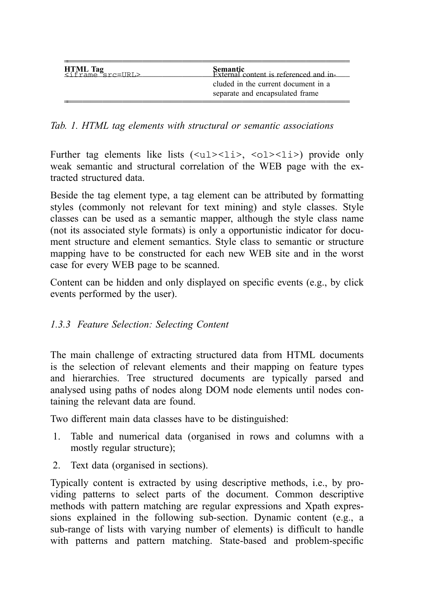| $\begin{array}{c} \textbf{HTML Tag} \\ \textbf{A} \textbf{I} \\ \textbf{I} \textbf{I} \textbf{I} \textbf{I} \textbf{I} \end{array}$ | <b>Semantic</b><br>External content is referenced and in-              |
|-------------------------------------------------------------------------------------------------------------------------------------|------------------------------------------------------------------------|
|                                                                                                                                     | cluded in the current document in a<br>separate and encapsulated frame |

*Tab. 1. HTML tag elements with structural or semantic associations*

Further tag elements like lists  $(\langle ul \rangle \langle \langle ul \rangle \langle \langle ul \rangle \langle \langle ul \rangle \langle \langle ul \rangle \rangle))$  provide only weak semantic and structural correlation of the WEB page with the extracted structured data.

Beside the tag element type, a tag element can be attributed by formatting styles (commonly not relevant for text mining) and style classes. Style classes can be used as a semantic mapper, although the style class name (not its associated style formats) is only a opportunistic indicator for document structure and element semantics. Style class to semantic or structure mapping have to be constructed for each new WEB site and in the worst case for every WEB page to be scanned.

Content can be hidden and only displayed on specific events (e.g., by click events performed by the user).

## *1.3.3 Feature Selection: Selecting Content*

The main challenge of extracting structured data from HTML documents is the selection of relevant elements and their mapping on feature types and hierarchies. Tree structured documents are typically parsed and analysed using paths of nodes along DOM node elements until nodes containing the relevant data are found.

Two different main data classes have to be distinguished:

- 1. Table and numerical data (organised in rows and columns with a mostly regular structure);
- 2. Text data (organised in sections).

Typically content is extracted by using descriptive methods, i.e., by providing patterns to select parts of the document. Common descriptive methods with pattern matching are regular expressions and Xpath expressions explained in the following sub-section. Dynamic content (e.g., a sub-range of lists with varying number of elements) is difficult to handle with patterns and pattern matching. State-based and problem-specific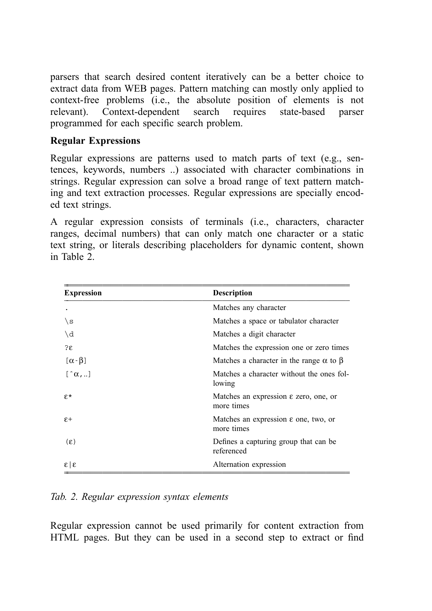parsers that search desired content iteratively can be a better choice to extract data from WEB pages. Pattern matching can mostly only applied to context-free problems (i.e., the absolute position of elements is not relevant). Context-dependent search requires state-based parser programmed for each specific search problem.

## **Regular Expressions**

Regular expressions are patterns used to match parts of text (e.g., sentences, keywords, numbers ..) associated with character combinations in strings. Regular expression can solve a broad range of text pattern matching and text extraction processes. Regular expressions are specially encoded text strings.

A regular expression consists of terminals (i.e., characters, character ranges, decimal numbers) that can only match one character or a static text string, or literals describing placeholders for dynamic content, shown in Table 2.

| <b>Expression</b>       | <b>Description</b>                                              |  |  |
|-------------------------|-----------------------------------------------------------------|--|--|
|                         | Matches any character                                           |  |  |
| $\setminus$ s           | Matches a space or tabulator character                          |  |  |
| $\setminus d$           | Matches a digit character                                       |  |  |
| $2\varepsilon$          | Matches the expression one or zero times                        |  |  |
| $[\alpha - \beta]$      | Matches a character in the range $\alpha$ to $\beta$            |  |  |
| $\lbrack \hat{a},]$     | Matches a character without the ones fol-<br>lowing             |  |  |
| $F^*$                   | Matches an expression $\varepsilon$ zero, one, or<br>more times |  |  |
| $\varepsilon$ +         | Matches an expression $\varepsilon$ one, two, or<br>more times  |  |  |
| $(\epsilon)$            | Defines a capturing group that can be<br>referenced             |  |  |
| $\epsilon$   $\epsilon$ | Alternation expression                                          |  |  |

## *Tab. 2. Regular expression syntax elements*

Regular expression cannot be used primarily for content extraction from HTML pages. But they can be used in a second step to extract or find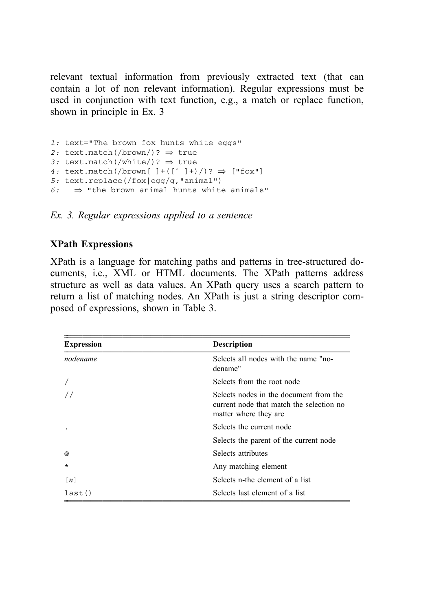relevant textual information from previously extracted text (that can contain a lot of non relevant information). Regular expressions must be used in conjunction with text function, e.g., a match or replace function, shown in principle in Ex. 3

```
1: text="The brown fox hunts white eggs"
2: text.match(/brown/)? ⇒ true
3: text.match(/white/)? ⇒ true
4: text.match(/brown[ ]+([ˆ ]+)/)? ⇒ ["fox"]
5: text.replace(/fox|egg/g,"animal")
6: \Rightarrow "the brown animal hunts white animals"
```
*Ex. 3. Regular expressions applied to a sentence*

#### **XPath Expressions**

XPath is a language for matching paths and patterns in tree-structured documents, i.e., XML or HTML documents. The XPath patterns address structure as well as data values. An XPath query uses a search pattern to return a list of matching nodes. An XPath is just a string descriptor composed of expressions, shown in Table 3.

| <b>Expression</b> | <b>Description</b>                                                                                          |
|-------------------|-------------------------------------------------------------------------------------------------------------|
| nodename          | Selects all nodes with the name "no-<br>dename"                                                             |
|                   | Selects from the root node                                                                                  |
| $\frac{1}{2}$     | Selects nodes in the document from the<br>current node that match the selection no<br>matter where they are |
|                   | Selects the current node                                                                                    |
|                   | Selects the parent of the current node                                                                      |
| @                 | Selects attributes                                                                                          |
| $\star$           | Any matching element                                                                                        |
| $\lceil n \rceil$ | Selects n-the element of a list                                                                             |
| last()            | Selects last element of a list                                                                              |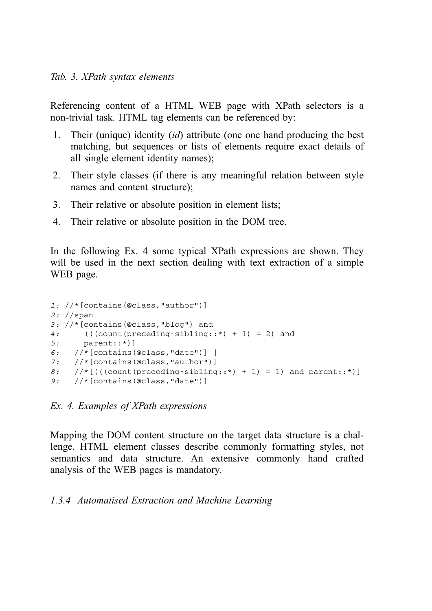Referencing content of a HTML WEB page with XPath selectors is a non-trivial task. HTML tag elements can be referenced by:

- 1. Their (unique) identity (*id*) attribute (one one hand producing the best matching, but sequences or lists of elements require exact details of all single element identity names);
- 2. Their style classes (if there is any meaningful relation between style names and content structure);
- 3. Their relative or absolute position in element lists;
- 4. Their relative or absolute position in the DOM tree.

In the following Ex. 4 some typical XPath expressions are shown. They will be used in the next section dealing with text extraction of a simple WEB page.

```
1: //*(contains(@class, "author")]
2: //span
3: //*[contains(@class,"blog") and
4: (((count(preceding-sibling::*) + 1) = 2) and
5: parent::*)]
6: //*[contains(@class,"date")] |
7: //*[contains(@class,"author")]
8: //*[(((count(preceding-sibling::*) + 1) = 1) and parent::*)]
9: //*[contains(@class,"date")]
```
*Ex. 4. Examples of XPath expressions*

Mapping the DOM content structure on the target data structure is a challenge. HTML element classes describe commonly formatting styles, not semantics and data structure. An extensive commonly hand crafted analysis of the WEB pages is mandatory.

## *1.3.4 Automatised Extraction and Machine Learning*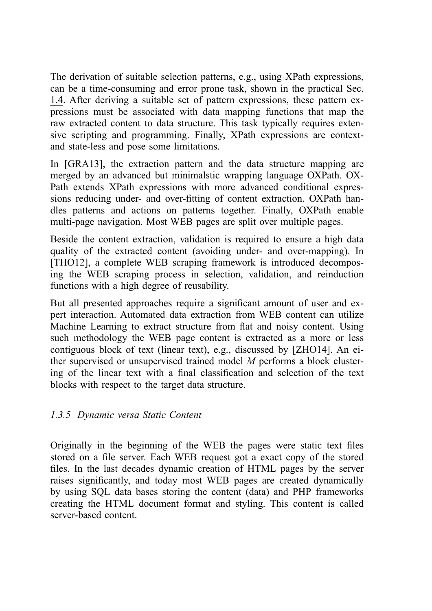The derivation of suitable selection patterns, e.g., using XPath expressions, can be a time-consuming and error prone task, shown in the practical Sec. [1.4](#page-15-0). After deriving a suitable set of pattern expressions, these pattern expressions must be associated with data mapping functions that map the raw extracted content to data structure. This task typically requires extensive scripting and programming. Finally, XPath expressions are contextand state-less and pose some limitations.

In [GRA13], the extraction pattern and the data structure mapping are merged by an advanced but minimalstic wrapping language OXPath. OX-Path extends XPath expressions with more advanced conditional expressions reducing under- and over-fitting of content extraction. OXPath handles patterns and actions on patterns together. Finally, OXPath enable multi-page navigation. Most WEB pages are split over multiple pages.

Beside the content extraction, validation is required to ensure a high data quality of the extracted content (avoiding under- and over-mapping). In [THO12], a complete WEB scraping framework is introduced decomposing the WEB scraping process in selection, validation, and reinduction functions with a high degree of reusability.

But all presented approaches require a significant amount of user and expert interaction. Automated data extraction from WEB content can utilize Machine Learning to extract structure from flat and noisy content. Using such methodology the WEB page content is extracted as a more or less contiguous block of text (linear text), e.g., discussed by [ZHO14]. An either supervised or unsupervised trained model *M* performs a block clustering of the linear text with a final classification and selection of the text blocks with respect to the target data structure.

#### *1.3.5 Dynamic versa Static Content*

Originally in the beginning of the WEB the pages were static text files stored on a file server. Each WEB request got a exact copy of the stored files. In the last decades dynamic creation of HTML pages by the server raises significantly, and today most WEB pages are created dynamically by using SQL data bases storing the content (data) and PHP frameworks creating the HTML document format and styling. This content is called server-based content.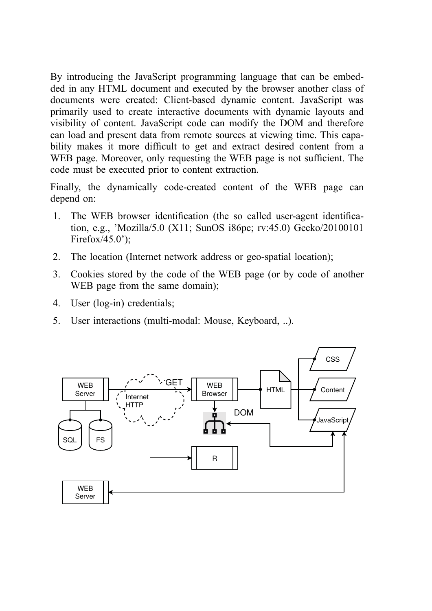By introducing the JavaScript programming language that can be embedded in any HTML document and executed by the browser another class of documents were created: Client-based dynamic content. JavaScript was primarily used to create interactive documents with dynamic layouts and visibility of content. JavaScript code can modify the DOM and therefore can load and present data from remote sources at viewing time. This capability makes it more difficult to get and extract desired content from a WEB page. Moreover, only requesting the WEB page is not sufficient. The code must be executed prior to content extraction.

Finally, the dynamically code-created content of the WEB page can depend on:

- 1. The WEB browser identification (the so called user-agent identification, e.g., 'Mozilla/5.0 (X11; SunOS i86pc; rv:45.0) Gecko/20100101 Firefox/45.0');
- 2. The location (Internet network address or geo-spatial location);
- 3. Cookies stored by the code of the WEB page (or by code of another WEB page from the same domain);
- 4. User (log-in) credentials;
- 5. User interactions (multi-modal: Mouse, Keyboard, ..).

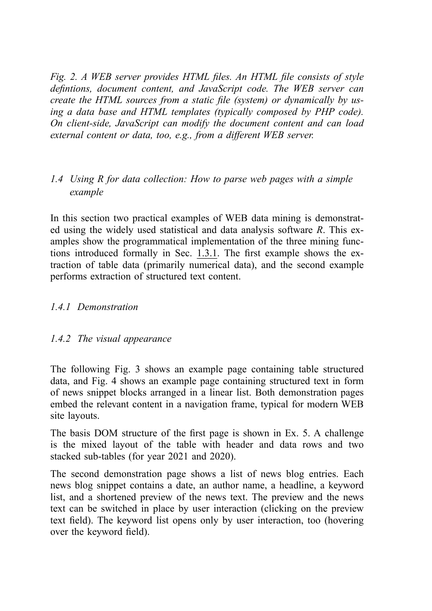*Fig. 2. A WEB server provides HTML files. An HTML file consists of style defintions, document content, and JavaScript code. The WEB server can create the HTML sources from a static file (system) or dynamically by using a data base and HTML templates (typically composed by PHP code). On client-side, JavaScript can modify the document content and can load external content or data, too, e.g., from a different WEB server.*

## <span id="page-15-0"></span>*1.4 Using R for data collection: How to parse web pages with a simple example*

In this section two practical examples of WEB data mining is demonstrated using the widely used statistical and data analysis software *R*. This examples show the programmatical implementation of the three mining functions introduced formally in Sec.  $1.3.1$ . The first example shows the extraction of table data (primarily numerical data), and the second example performs extraction of structured text content.

### *1.4.1 Demonstration*

#### *1.4.2 The visual appearance*

The following Fig. 3 shows an example page containing table structured data, and Fig. 4 shows an example page containing structured text in form of news snippet blocks arranged in a linear list. Both demonstration pages embed the relevant content in a navigation frame, typical for modern WEB site layouts.

The basis DOM structure of the first page is shown in Ex. 5. A challenge is the mixed layout of the table with header and data rows and two stacked sub-tables (for year 2021 and 2020).

The second demonstration page shows a list of news blog entries. Each news blog snippet contains a date, an author name, a headline, a keyword list, and a shortened preview of the news text. The preview and the news text can be switched in place by user interaction (clicking on the preview text field). The keyword list opens only by user interaction, too (hovering over the keyword field).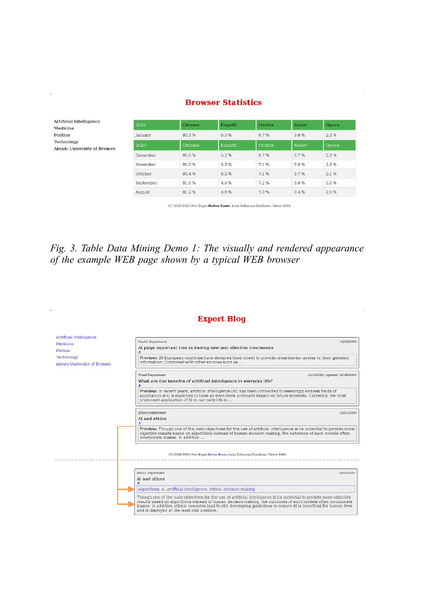| 2021      | Chrome | Edge/IE | Firefox        | Safari | Opera |
|-----------|--------|---------|----------------|--------|-------|
| January   | 80.3%  | 5.3%    | 6.7%           | 3.8%   | 2.3%  |
| 2020      | Chrome | Edge/IE | <b>Firefox</b> | Safari | Opera |
| December  | 80.5%  | 5.2%    | 6.7%           | 3.7%   | 2.3%  |
| November  | 80.0%  | 5.3%    | 7.1%           | 3.9%   | 2.3%  |
| October   | 80.4%  | 5.2%    | 7.1%           | 3.7%   | 2.1%  |
| September | 81.0%  | 4.9%    | 7.2%           | 3.6%   | 2.0%  |
| August    | 81.2%  | 4.6%    | 7.3%           | 3.4%   | 2.0%  |

#### **Browser Statistics**

Artificial Intelligence

About: University of Bremen

Medicine Politics Technology

(C) 2006-2020 Uwe Engel, Stefan Bosse, Lena Katharina Dahlhaus. Views: 3064

## *Fig. 3. Table Data Mining Demo 1: The visually and rendered appearance of the example WEB page shown by a typical WEB browser*

#### **Expert Blog**

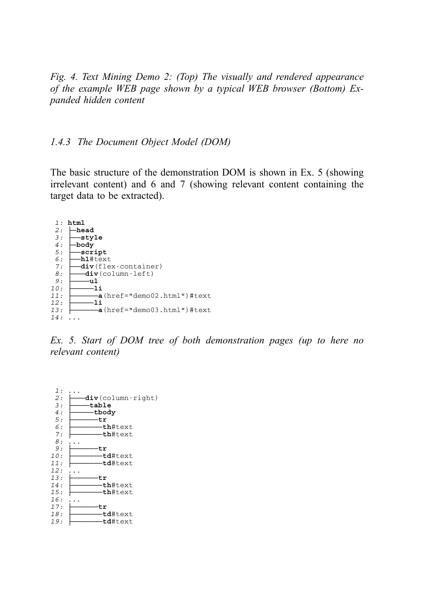*Fig. 4. Text Mining Demo 2: (Top) The visually and rendered appearance of the example WEB page shown by a typical WEB browser (Bottom) Expanded hidden content*

#### *1.4.3 The Document Object Model (DOM)*

The basic structure of the demonstration DOM is shown in Ex. 5 (showing irrelevant content) and 6 and 7 (showing relevant content containing the target data to be extracted).

```
1: html
       2: ├─head
 3: ├──style<br>4: <del>│</del>bodv
         -body
 5: |-script<br>6: |-h1#tex
 \begin{array}{ccc} 6: & \text{In1#text} \\ 7: & \text{div}(f1e) \end{array}7: ├──div(flex-container)<br>8: ├──div(column-left)
 8: \begin{array}{c} \n\hline\n-\text{div}(\text{column-left})\n\end{array}9: ├────ul
10: ├─────li
11: ├──────a(href="demo02.html")#text
12: ├───li<br>13: ├───a
                   -a(href="demo03.html")#text
14: ...
```
*Ex. 5. Start of DOM tree of both demonstration pages (up to here no relevant content)*

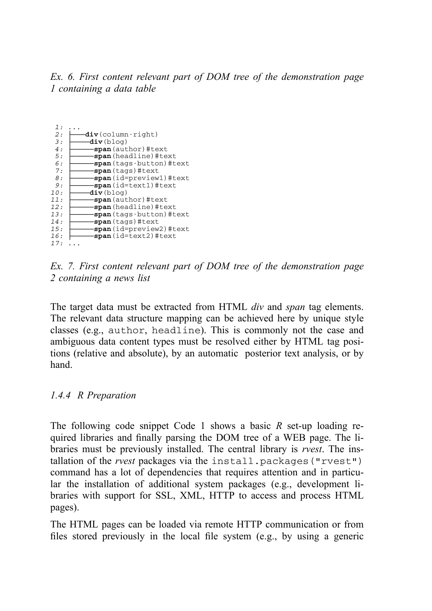*Ex. 6. First content relevant part of DOM tree of the demonstration page 1 containing a data table*

| <b>div</b> (column-right)<br>2:<br>3:<br><b>div</b> (blog)<br>4:<br><b>-span</b> (author) #text<br>5:<br><b>-span</b> (headline)#text<br>6:<br>7:<br><b>span</b> (tags)#text-<br>8:<br><b>-span</b> (id=text1)#text<br>9:<br>10:<br><b>div</b> (blog)<br><b>span</b> (author)#text<br>11:<br><b>-span</b> (headline)#text<br>12:<br>13:<br><b>span</b> (tags)#text-<br>14:<br>15:<br>span(id=text2)#text<br>16:<br>17: | 1: |                                 |
|------------------------------------------------------------------------------------------------------------------------------------------------------------------------------------------------------------------------------------------------------------------------------------------------------------------------------------------------------------------------------------------------------------------------|----|---------------------------------|
|                                                                                                                                                                                                                                                                                                                                                                                                                        |    |                                 |
|                                                                                                                                                                                                                                                                                                                                                                                                                        |    |                                 |
|                                                                                                                                                                                                                                                                                                                                                                                                                        |    |                                 |
|                                                                                                                                                                                                                                                                                                                                                                                                                        |    |                                 |
|                                                                                                                                                                                                                                                                                                                                                                                                                        |    | <b>-span</b> (tags-button)#text |
|                                                                                                                                                                                                                                                                                                                                                                                                                        |    |                                 |
|                                                                                                                                                                                                                                                                                                                                                                                                                        |    | span(id=preview1)#text          |
|                                                                                                                                                                                                                                                                                                                                                                                                                        |    |                                 |
|                                                                                                                                                                                                                                                                                                                                                                                                                        |    |                                 |
|                                                                                                                                                                                                                                                                                                                                                                                                                        |    |                                 |
|                                                                                                                                                                                                                                                                                                                                                                                                                        |    |                                 |
|                                                                                                                                                                                                                                                                                                                                                                                                                        |    | <b>span</b> (tags-button)#text- |
|                                                                                                                                                                                                                                                                                                                                                                                                                        |    |                                 |
|                                                                                                                                                                                                                                                                                                                                                                                                                        |    | span(id=preview2)#text          |
|                                                                                                                                                                                                                                                                                                                                                                                                                        |    |                                 |
|                                                                                                                                                                                                                                                                                                                                                                                                                        |    |                                 |

*Ex. 7. First content relevant part of DOM tree of the demonstration page 2 containing a news list*

The target data must be extracted from HTML *div* and *span* tag elements. The relevant data structure mapping can be achieved here by unique style classes (e.g., author, headline). This is commonly not the case and ambiguous data content types must be resolved either by HTML tag positions (relative and absolute), by an automatic posterior text analysis, or by hand.

*1.4.4 R Preparation*

The following code snippet Code 1 shows a basic *R* set-up loading required libraries and finally parsing the DOM tree of a WEB page. The libraries must be previously installed. The central library is *rvest*. The installation of the *rvest* packages via the install.packages("rvest") command has a lot of dependencies that requires attention and in particular the installation of additional system packages (e.g., development libraries with support for SSL, XML, HTTP to access and process HTML pages).

The HTML pages can be loaded via remote HTTP communication or from files stored previously in the local file system (e.g., by using a generic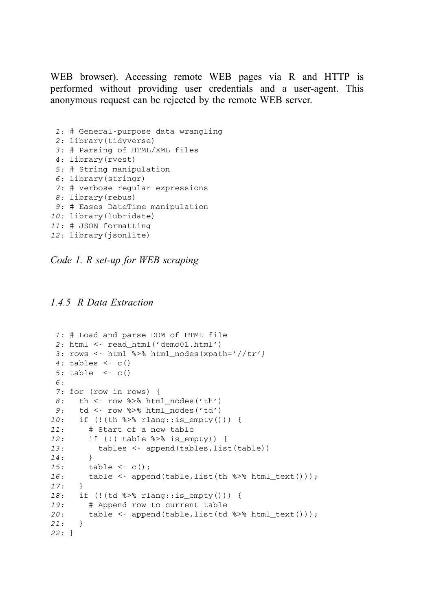WEB browser). Accessing remote WEB pages via R and HTTP is performed without providing user credentials and a user-agent. This anonymous request can be rejected by the remote WEB server.

```
1: # General-purpose data wrangling
2: library(tidyverse)
 3: # Parsing of HTML/XML files
4: library(rvest)
 5: # String manipulation
 6: library(stringr)
 7: # Verbose regular expressions
8: library(rebus)
 9: # Eases DateTime manipulation
10: library(lubridate)
11: # JSON formatting
12: library(jsonlite)
```
*Code 1. R set-up for WEB scraping*

*1.4.5 R Data Extraction*

```
1: # Load and parse DOM of HTML file
2: html <- read_html('demo01.html')
 3: rows <- html %>% html_nodes(xpath='//tr')
4: tables <- c()
5: table <- c()
 6:
 7: for (row in rows) {
 8: th <- row %>% html_nodes('th')
 9: td <- row %>% html_nodes('td')
10: if (!(th %>% rlang::is_empty())) {
11: # Start of a new table
12: if (!( table %>% is_empty)) {
13: tables <- append(tables,list(table))
14: }
15: table <- c();
16: table <- append(table,list(th %>% html text()));
17: }
18: if (!(td %>% rlang::is_empty())) {
19: # Append row to current table
20: table <- append(table,list(td %>% html_text()));
21: }
22: }
```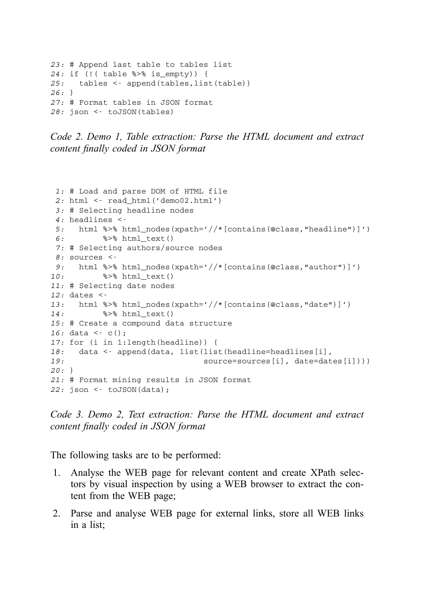```
23: # Append last table to tables list
24: if (!( table %>% is_empty)) {
25: tables <- append(tables,list(table))
26: }
27: # Format tables in JSON format
28: json <- toJSON(tables)
```

```
Code 2. Demo 1, Table extraction: Parse the HTML document and extract
content finally coded in JSON format
```

```
1: # Load and parse DOM of HTML file
2: html <- read_html('demo02.html')
3: # Selecting headline nodes
4: headlines <-
5: html %>% html_nodes(xpath='//*[contains(@class,"headline")]')
6: %>% html_text()
7: # Selecting authors/source nodes
8: sources <-
9: html %>% html_nodes(xpath='//*[contains(@class,"author")]')
10: %>% html_text()
11: # Selecting date nodes
12: dates <-
13: html %>% html_nodes(xpath='//*[contains(@class,"date")]')
14: %>% html_text()
15: # Create a compound data structure
16: data <- c();
17: for (i in 1:length(headline)) {
18: data <- append(data, list(list(headline=headlines[i],
19: source=sources[i], date=dates[i])))
20: }
21: # Format mining results in JSON format
22: json <- toJSON(data);
```
*Code 3. Demo 2, Text extraction: Parse the HTML document and extract content finally coded in JSON format*

The following tasks are to be performed:

- 1. Analyse the WEB page for relevant content and create XPath selectors by visual inspection by using a WEB browser to extract the content from the WEB page;
- 2. Parse and analyse WEB page for external links, store all WEB links in a list;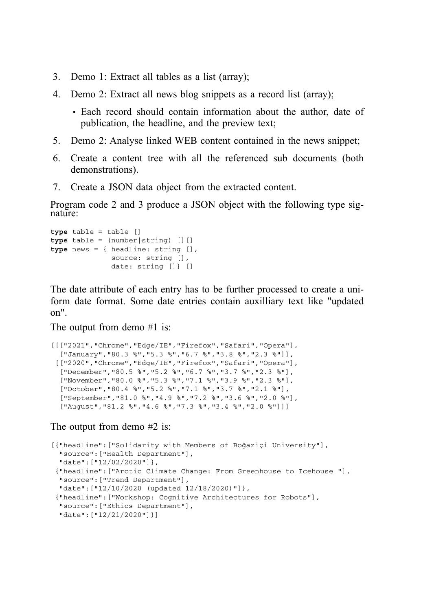- 3. Demo 1: Extract all tables as a list (array);
- 4. Demo 2: Extract all news blog snippets as a record list (array);
	- Each record should contain information about the author, date of publication, the headline, and the preview text;
- 5. Demo 2: Analyse linked WEB content contained in the news snippet;
- 6. Create a content tree with all the referenced sub documents (both demonstrations).
- 7. Create a JSON data object from the extracted content.

Program code 2 and 3 produce a JSON object with the following type signature:

```
type table = table []
type table = (number|string) [][]
type news = { headline: string [],
              source: string [],
              date: string []} []
```
The date attribute of each entry has to be further processed to create a uniform date format. Some date entries contain auxilliary text like "updated on".

The output from demo #1 is:

```
[[["2021","Chrome","Edge/IE","Firefox","Safari","Opera"],
  ["January","80.3 %","5.3 %","6.7 %","3.8 %","2.3 %"]],
 [["2020","Chrome","Edge/IE","Firefox","Safari","Opera"],
  ["December","80.5 %","5.2 %","6.7 %","3.7 %","2.3 %"],
  ["November","80.0 %","5.3 %","7.1 %","3.9 %","2.3 %"],
 ["October","80.4 %","5.2 %","7.1 %","3.7 %","2.1 %"],
  ["September","81.0 %","4.9 %","7.2 %","3.6 %","2.0 %"],
  ["August","81.2 %","4.6 %","7.3 %","3.4 %","2.0 %"]]]
```
The output from demo #2 is:

```
[{"headline":["Solidarity with Members of Boğaziçi University"],
 "source":["Health Department"],
 "date":["12/02/2020"]},
{"headline":["Arctic Climate Change: From Greenhouse to Icehouse "],
 "source":["Trend Department"],
 "date":["12/10/2020 (updated 12/18/2020)"]},
 {"headline":["Workshop: Cognitive Architectures for Robots"],
 "source":["Ethics Department"],
 "date":["12/21/2020"]}]
```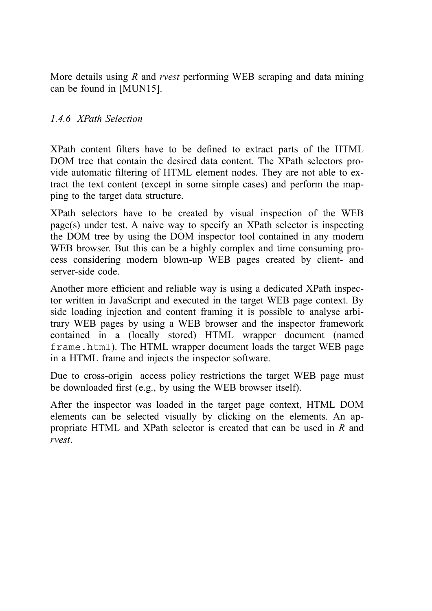More details using *R* and *rvest* performing WEB scraping and data mining can be found in [MUN15].

#### *1.4.6 XPath Selection*

XPath content filters have to be defined to extract parts of the HTML DOM tree that contain the desired data content. The XPath selectors provide automatic filtering of HTML element nodes. They are not able to extract the text content (except in some simple cases) and perform the mapping to the target data structure.

XPath selectors have to be created by visual inspection of the WEB page(s) under test. A naive way to specify an XPath selector is inspecting the DOM tree by using the DOM inspector tool contained in any modern WEB browser. But this can be a highly complex and time consuming process considering modern blown-up WEB pages created by client- and server-side code.

Another more efficient and reliable way is using a dedicated XPath inspector written in JavaScript and executed in the target WEB page context. By side loading injection and content framing it is possible to analyse arbitrary WEB pages by using a WEB browser and the inspector framework contained in a (locally stored) HTML wrapper document (named frame.html). The HTML wrapper document loads the target WEB page in a HTML frame and injects the inspector software.

Due to cross-origin access policy restrictions the target WEB page must be downloaded first (e.g., by using the WEB browser itself).

After the inspector was loaded in the target page context, HTML DOM elements can be selected visually by clicking on the elements. An appropriate HTML and XPath selector is created that can be used in *R* and *rvest*.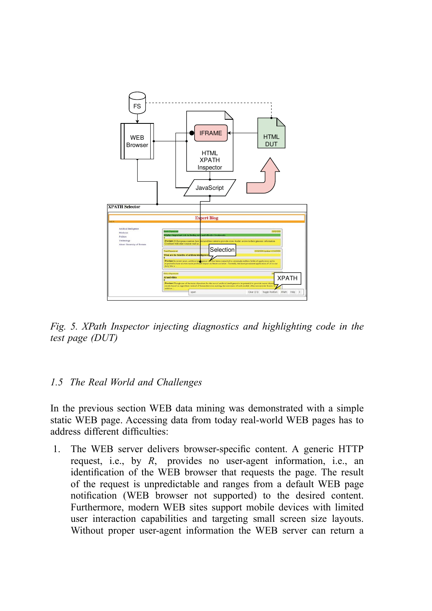

*Fig. 5. XPath Inspector injecting diagnostics and highlighting code in the test page (DUT)*

## *1.5 The Real World and Challenges*

In the previous section WEB data mining was demonstrated with a simple static WEB page. Accessing data from today real-world WEB pages has to address different difficulties:

1. The WEB server delivers browser-specific content. A generic HTTP request, i.e., by *R*, provides no user-agent information, i.e., an identification of the WEB browser that requests the page. The result of the request is unpredictable and ranges from a default WEB page notification (WEB browser not supported) to the desired content. Furthermore, modern WEB sites support mobile devices with limited user interaction capabilities and targeting small screen size layouts. Without proper user-agent information the WEB server can return a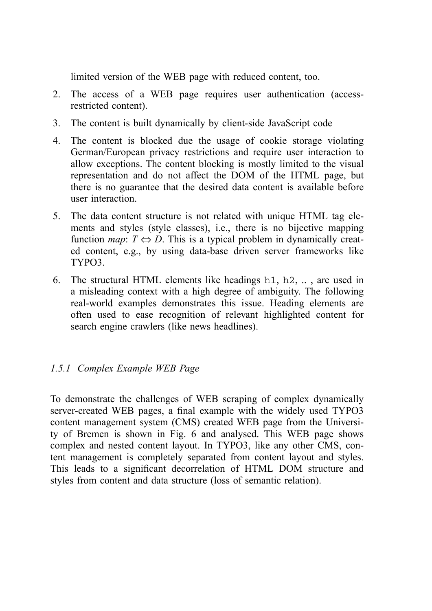limited version of the WEB page with reduced content, too.

- 2. The access of a WEB page requires user authentication (accessrestricted content).
- 3. The content is built dynamically by client-side JavaScript code
- 4. The content is blocked due the usage of cookie storage violating German/European privacy restrictions and require user interaction to allow exceptions. The content blocking is mostly limited to the visual representation and do not affect the DOM of the HTML page, but there is no guarantee that the desired data content is available before user interaction.
- 5. The data content structure is not related with unique HTML tag elements and styles (style classes), i.e., there is no bijective mapping function *map*:  $T \Leftrightarrow D$ . This is a typical problem in dynamically created content, e.g., by using data-base driven server frameworks like TYPO3.
- 6. The structural HTML elements like headings h1, h2, .. , are used in a misleading context with a high degree of ambiguity. The following real-world examples demonstrates this issue. Heading elements are often used to ease recognition of relevant highlighted content for search engine crawlers (like news headlines).

## *1.5.1 Complex Example WEB Page*

To demonstrate the challenges of WEB scraping of complex dynamically server-created WEB pages, a final example with the widely used TYPO3 content management system (CMS) created WEB page from the University of Bremen is shown in Fig. 6 and analysed. This WEB page shows complex and nested content layout. In TYPO3, like any other CMS, content management is completely separated from content layout and styles. This leads to a significant decorrelation of HTML DOM structure and styles from content and data structure (loss of semantic relation).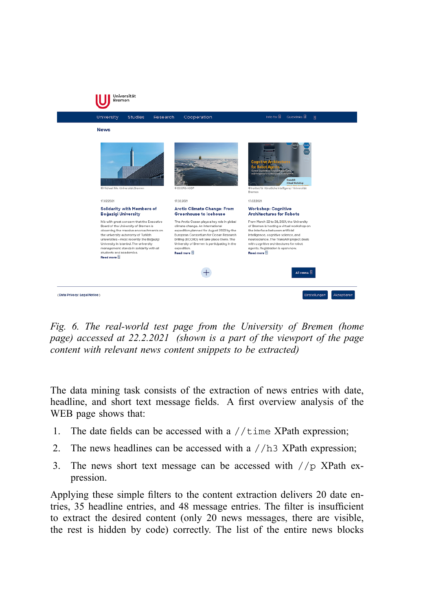

*Fig. 6. The real-world test page from the University of Bremen (home page) accessed at 22.2.2021 (shown is a part of the viewport of the page content with relevant news content snippets to be extracted)*

The data mining task consists of the extraction of news entries with date, headline, and short text message fields. A first overview analysis of the WEB page shows that:

- 1. The date fields can be accessed with a  $//time$  XPath expression;
- 2. The news headlines can be accessed with a //h3 XPath expression;
- 3. The news short text message can be accessed with //p XPath expression.

Applying these simple filters to the content extraction delivers 20 date entries, 35 headline entries, and 48 message entries. The filter is insufficient to extract the desired content (only 20 news messages, there are visible, the rest is hidden by code) correctly. The list of the entire news blocks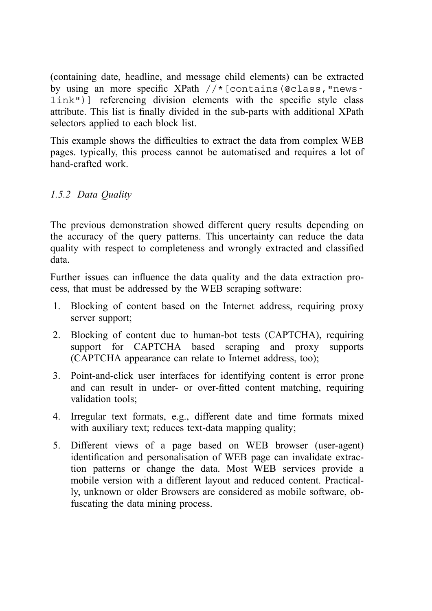(containing date, headline, and message child elements) can be extracted by using an more specific XPath //\*[contains(@class,"newslink")] referencing division elements with the specific style class attribute. This list is finally divided in the sub-parts with additional XPath selectors applied to each block list.

This example shows the difficulties to extract the data from complex WEB pages. typically, this process cannot be automatised and requires a lot of hand-crafted work.

## *1.5.2 Data Quality*

The previous demonstration showed different query results depending on the accuracy of the query patterns. This uncertainty can reduce the data quality with respect to completeness and wrongly extracted and classified data.

Further issues can influence the data quality and the data extraction process, that must be addressed by the WEB scraping software:

- 1. Blocking of content based on the Internet address, requiring proxy server support;
- 2. Blocking of content due to human-bot tests (CAPTCHA), requiring support for CAPTCHA based scraping and proxy supports (CAPTCHA appearance can relate to Internet address, too);
- 3. Point-and-click user interfaces for identifying content is error prone and can result in under- or over-fitted content matching, requiring validation tools;
- 4. Irregular text formats, e.g., different date and time formats mixed with auxiliary text; reduces text-data mapping quality;
- 5. Different views of a page based on WEB browser (user-agent) identification and personalisation of WEB page can invalidate extraction patterns or change the data. Most WEB services provide a mobile version with a different layout and reduced content. Practically, unknown or older Browsers are considered as mobile software, obfuscating the data mining process.